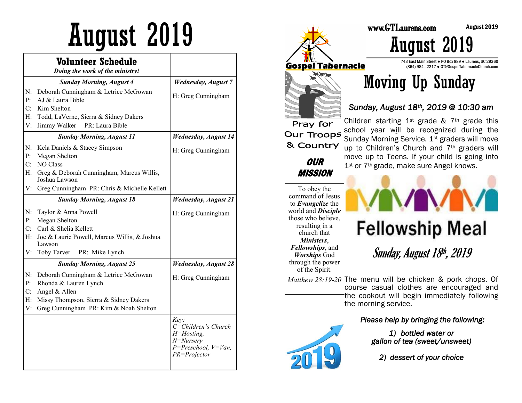|    | <b>Volunteer Schedule</b><br>Doing the work of the ministry! |                                                                                                              |
|----|--------------------------------------------------------------|--------------------------------------------------------------------------------------------------------------|
|    | <b>Sunday Morning, August 4</b>                              | <b>Wednesday</b> , August 7                                                                                  |
| N: | Deborah Cunningham & Letrice McGowan                         | H: Greg Cunningham                                                                                           |
| P: | AJ & Laura Bible                                             |                                                                                                              |
| C: | Kim Shelton                                                  |                                                                                                              |
| H: | Todd, LaVerne, Sierra & Sidney Dakers                        |                                                                                                              |
| V: | PR: Laura Bible<br>Jimmy Walker                              |                                                                                                              |
|    | <b>Sunday Morning, August 11</b>                             | <b>Wednesday, August 14</b>                                                                                  |
| N: | Kela Daniels & Stacey Simpson                                | H: Greg Cunningham                                                                                           |
| P: | Megan Shelton                                                |                                                                                                              |
| C: | NO Class                                                     |                                                                                                              |
| H: | Greg & Deborah Cunningham, Marcus Willis,<br>Joshua Lawson   |                                                                                                              |
| V: | Greg Cunningham PR: Chris & Michelle Kellett                 |                                                                                                              |
|    | <b>Sunday Morning, August 18</b>                             | <b>Wednesday, August 21</b>                                                                                  |
| N: | Taylor & Anna Powell                                         | H: Greg Cunningham                                                                                           |
| P: | Megan Shelton                                                |                                                                                                              |
| C: | Carl & Shelia Kellett                                        |                                                                                                              |
| Н: | Joe & Laurie Powell, Marcus Willis, & Joshua<br>Lawson       |                                                                                                              |
| V: | Toby Tarver<br>PR: Mike Lynch                                |                                                                                                              |
|    | <b>Sunday Morning, August 25</b>                             | <b>Wednesday, August 28</b>                                                                                  |
| N: | Deborah Cunningham & Letrice McGowan                         | H: Greg Cunningham                                                                                           |
| P: | Rhonda & Lauren Lynch                                        |                                                                                                              |
| C: | Angel & Allen                                                |                                                                                                              |
| H: | Missy Thompson, Sierra & Sidney Dakers                       |                                                                                                              |
| V: | Greg Cunningham PR: Kim & Noah Shelton                       |                                                                                                              |
|    |                                                              | Key:<br>C=Children's Church<br>$H = H$ osting,<br>$N = Nurserv$<br>$P = Preschool, V = Van,$<br>PR=Projector |



743 East Main Street ● PO Box 889 ● Laurens, SC 29360 (864) 984—2217 ● GT@GospelTabernacleChurch.com



#### *Sunday, August 18th, 2019 @ 10:30 am*

world and *Disciple* 



# **Fellowship Meal**

Sunday, August 18th, 2019

*Matthew 28:19-20*  The menu will be chicken & pork chops. Of course casual clothes are encouraged and the cookout will begin immediately following

*Please help by bringing the following:* 

*1) bottled water or gallon of tea (sweet/unsweet)* 

*2) dessert of your choice*